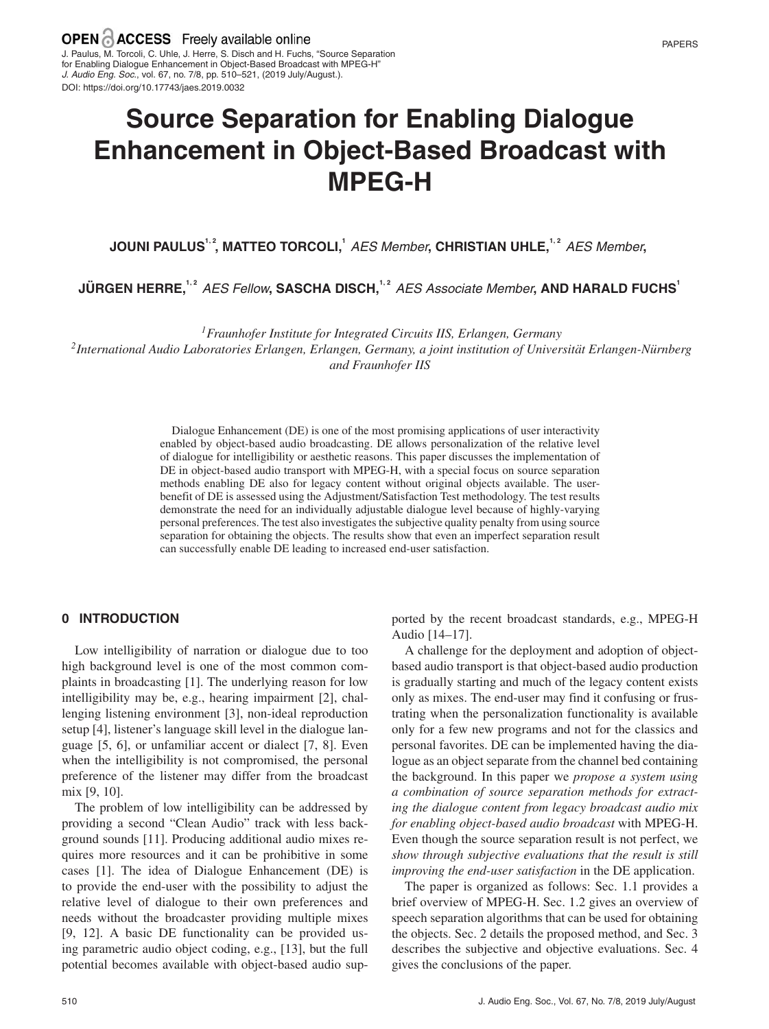# **Source Separation for Enabling Dialogue Enhancement in Object-Based Broadcast with MPEG-H**

**JOUNI PAULUS1***,* **<sup>2</sup> , MATTEO TORCOLI,<sup>1</sup>** AES Member**, CHRISTIAN UHLE,<sup>1</sup>***,* **<sup>2</sup>** AES Member**,**

**JURGEN HERRE, ¨ <sup>1</sup>***,* **<sup>2</sup>** AES Fellow**, SASCHA DISCH,<sup>1</sup>***,* **<sup>2</sup>** AES Associate Member**, AND HARALD FUCHS1**

*1Fraunhofer Institute for Integrated Circuits IIS, Erlangen, Germany*

*2International Audio Laboratories Erlangen, Erlangen, Germany, a joint institution of Universitat Erlangen-N ¨ urnberg ¨ and Fraunhofer IIS*

> Dialogue Enhancement (DE) is one of the most promising applications of user interactivity enabled by object-based audio broadcasting. DE allows personalization of the relative level of dialogue for intelligibility or aesthetic reasons. This paper discusses the implementation of DE in object-based audio transport with MPEG-H, with a special focus on source separation methods enabling DE also for legacy content without original objects available. The userbenefit of DE is assessed using the Adjustment/Satisfaction Test methodology. The test results demonstrate the need for an individually adjustable dialogue level because of highly-varying personal preferences. The test also investigates the subjective quality penalty from using source separation for obtaining the objects. The results show that even an imperfect separation result can successfully enable DE leading to increased end-user satisfaction.

## **0 INTRODUCTION**

Low intelligibility of narration or dialogue due to too high background level is one of the most common complaints in broadcasting [1]. The underlying reason for low intelligibility may be, e.g., hearing impairment [2], challenging listening environment [3], non-ideal reproduction setup [4], listener's language skill level in the dialogue language [5, 6], or unfamiliar accent or dialect [7, 8]. Even when the intelligibility is not compromised, the personal preference of the listener may differ from the broadcast mix [9, 10].

The problem of low intelligibility can be addressed by providing a second "Clean Audio" track with less background sounds [11]. Producing additional audio mixes requires more resources and it can be prohibitive in some cases [1]. The idea of Dialogue Enhancement (DE) is to provide the end-user with the possibility to adjust the relative level of dialogue to their own preferences and needs without the broadcaster providing multiple mixes [9, 12]. A basic DE functionality can be provided using parametric audio object coding, e.g., [13], but the full potential becomes available with object-based audio supported by the recent broadcast standards, e.g., MPEG-H Audio [14–17].

A challenge for the deployment and adoption of objectbased audio transport is that object-based audio production is gradually starting and much of the legacy content exists only as mixes. The end-user may find it confusing or frustrating when the personalization functionality is available only for a few new programs and not for the classics and personal favorites. DE can be implemented having the dialogue as an object separate from the channel bed containing the background. In this paper we *propose a system using a combination of source separation methods for extracting the dialogue content from legacy broadcast audio mix for enabling object-based audio broadcast* with MPEG-H. Even though the source separation result is not perfect, we *show through subjective evaluations that the result is still improving the end-user satisfaction* in the DE application.

The paper is organized as follows: Sec. 1.1 provides a brief overview of MPEG-H. Sec. 1.2 gives an overview of speech separation algorithms that can be used for obtaining the objects. Sec. 2 details the proposed method, and Sec. 3 describes the subjective and objective evaluations. Sec. 4 gives the conclusions of the paper.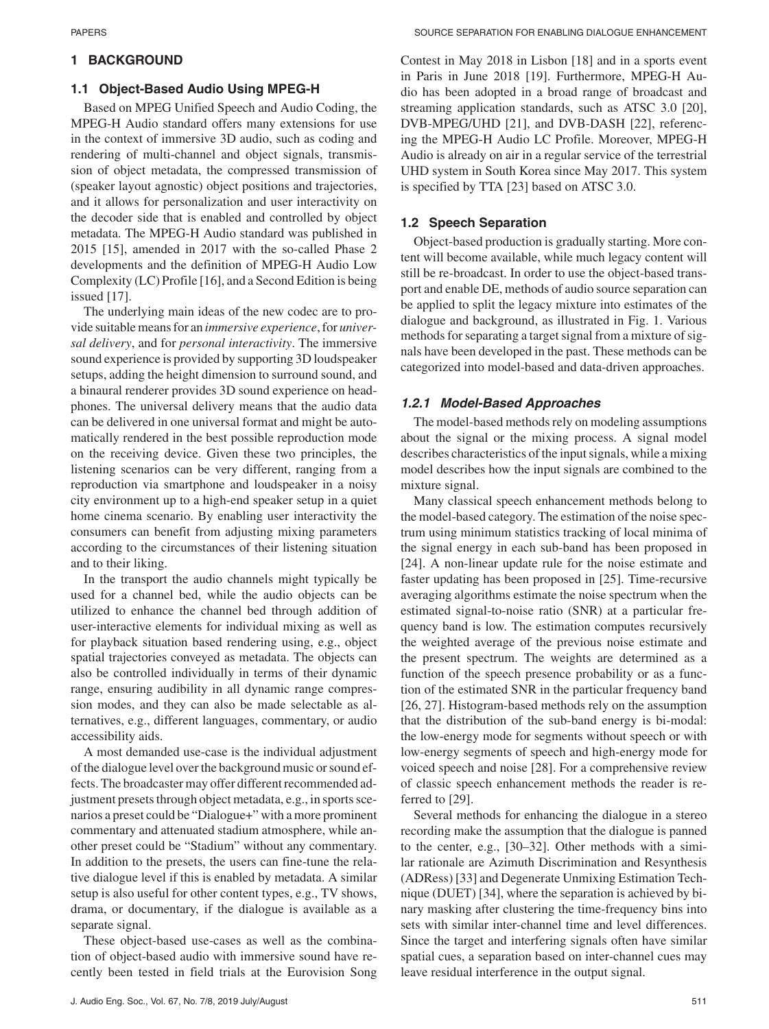#### PAPERS SOURCE SEPARATION FOR ENABLING DIALOGUE ENHANCEMENT

# **1 BACKGROUND**

## **1.1 Object-Based Audio Using MPEG-H**

Based on MPEG Unified Speech and Audio Coding, the MPEG-H Audio standard offers many extensions for use in the context of immersive 3D audio, such as coding and rendering of multi-channel and object signals, transmission of object metadata, the compressed transmission of (speaker layout agnostic) object positions and trajectories, and it allows for personalization and user interactivity on the decoder side that is enabled and controlled by object metadata. The MPEG-H Audio standard was published in 2015 [15], amended in 2017 with the so-called Phase 2 developments and the definition of MPEG-H Audio Low Complexity (LC) Profile [16], and a Second Edition is being issued [17].

The underlying main ideas of the new codec are to provide suitable means for an *immersive experience*, for *universal delivery*, and for *personal interactivity*. The immersive sound experience is provided by supporting 3D loudspeaker setups, adding the height dimension to surround sound, and a binaural renderer provides 3D sound experience on headphones. The universal delivery means that the audio data can be delivered in one universal format and might be automatically rendered in the best possible reproduction mode on the receiving device. Given these two principles, the listening scenarios can be very different, ranging from a reproduction via smartphone and loudspeaker in a noisy city environment up to a high-end speaker setup in a quiet home cinema scenario. By enabling user interactivity the consumers can benefit from adjusting mixing parameters according to the circumstances of their listening situation and to their liking.

In the transport the audio channels might typically be used for a channel bed, while the audio objects can be utilized to enhance the channel bed through addition of user-interactive elements for individual mixing as well as for playback situation based rendering using, e.g., object spatial trajectories conveyed as metadata. The objects can also be controlled individually in terms of their dynamic range, ensuring audibility in all dynamic range compression modes, and they can also be made selectable as alternatives, e.g., different languages, commentary, or audio accessibility aids.

A most demanded use-case is the individual adjustment of the dialogue level over the background music or sound effects. The broadcaster may offer different recommended adjustment presets through object metadata, e.g., in sports scenarios a preset could be "Dialogue+" with a more prominent commentary and attenuated stadium atmosphere, while another preset could be "Stadium" without any commentary. In addition to the presets, the users can fine-tune the relative dialogue level if this is enabled by metadata. A similar setup is also useful for other content types, e.g., TV shows, drama, or documentary, if the dialogue is available as a separate signal.

These object-based use-cases as well as the combination of object-based audio with immersive sound have recently been tested in field trials at the Eurovision Song

Contest in May 2018 in Lisbon [18] and in a sports event in Paris in June 2018 [19]. Furthermore, MPEG-H Audio has been adopted in a broad range of broadcast and streaming application standards, such as ATSC 3.0 [20], DVB-MPEG/UHD [21], and DVB-DASH [22], referencing the MPEG-H Audio LC Profile. Moreover, MPEG-H Audio is already on air in a regular service of the terrestrial UHD system in South Korea since May 2017. This system is specified by TTA [23] based on ATSC 3.0.

## **1.2 Speech Separation**

Object-based production is gradually starting. More content will become available, while much legacy content will still be re-broadcast. In order to use the object-based transport and enable DE, methods of audio source separation can be applied to split the legacy mixture into estimates of the dialogue and background, as illustrated in Fig. 1. Various methods for separating a target signal from a mixture of signals have been developed in the past. These methods can be categorized into model-based and data-driven approaches.

# **1.2.1 Model-Based Approaches**

The model-based methods rely on modeling assumptions about the signal or the mixing process. A signal model describes characteristics of the input signals, while a mixing model describes how the input signals are combined to the mixture signal.

Many classical speech enhancement methods belong to the model-based category. The estimation of the noise spectrum using minimum statistics tracking of local minima of the signal energy in each sub-band has been proposed in [24]. A non-linear update rule for the noise estimate and faster updating has been proposed in [25]. Time-recursive averaging algorithms estimate the noise spectrum when the estimated signal-to-noise ratio (SNR) at a particular frequency band is low. The estimation computes recursively the weighted average of the previous noise estimate and the present spectrum. The weights are determined as a function of the speech presence probability or as a function of the estimated SNR in the particular frequency band [26, 27]. Histogram-based methods rely on the assumption that the distribution of the sub-band energy is bi-modal: the low-energy mode for segments without speech or with low-energy segments of speech and high-energy mode for voiced speech and noise [28]. For a comprehensive review of classic speech enhancement methods the reader is referred to [29].

Several methods for enhancing the dialogue in a stereo recording make the assumption that the dialogue is panned to the center, e.g., [30–32]. Other methods with a similar rationale are Azimuth Discrimination and Resynthesis (ADRess) [33] and Degenerate Unmixing Estimation Technique (DUET) [34], where the separation is achieved by binary masking after clustering the time-frequency bins into sets with similar inter-channel time and level differences. Since the target and interfering signals often have similar spatial cues, a separation based on inter-channel cues may leave residual interference in the output signal.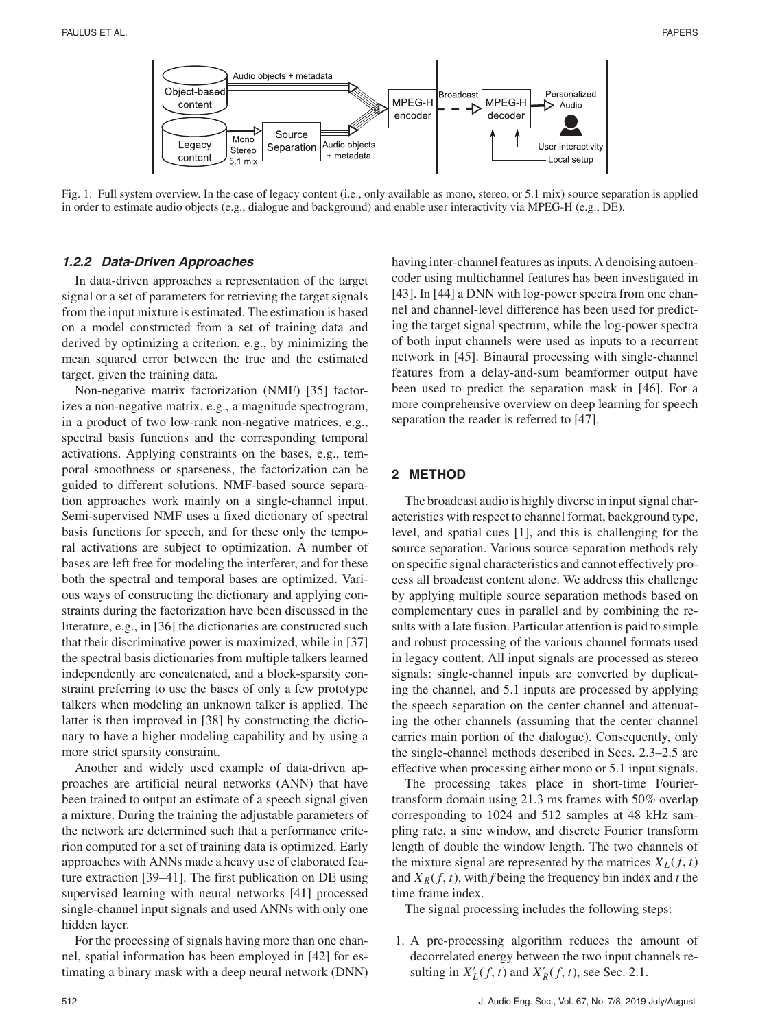

Fig. 1. Full system overview. In the case of legacy content (i.e., only available as mono, stereo, or 5.1 mix) source separation is applied in order to estimate audio objects (e.g., dialogue and background) and enable user interactivity via MPEG-H (e.g., DE).

## **1.2.2 Data-Driven Approaches**

In data-driven approaches a representation of the target signal or a set of parameters for retrieving the target signals from the input mixture is estimated. The estimation is based on a model constructed from a set of training data and derived by optimizing a criterion, e.g., by minimizing the mean squared error between the true and the estimated target, given the training data.

Non-negative matrix factorization (NMF) [35] factorizes a non-negative matrix, e.g., a magnitude spectrogram, in a product of two low-rank non-negative matrices, e.g., spectral basis functions and the corresponding temporal activations. Applying constraints on the bases, e.g., temporal smoothness or sparseness, the factorization can be guided to different solutions. NMF-based source separation approaches work mainly on a single-channel input. Semi-supervised NMF uses a fixed dictionary of spectral basis functions for speech, and for these only the temporal activations are subject to optimization. A number of bases are left free for modeling the interferer, and for these both the spectral and temporal bases are optimized. Various ways of constructing the dictionary and applying constraints during the factorization have been discussed in the literature, e.g., in [36] the dictionaries are constructed such that their discriminative power is maximized, while in [37] the spectral basis dictionaries from multiple talkers learned independently are concatenated, and a block-sparsity constraint preferring to use the bases of only a few prototype talkers when modeling an unknown talker is applied. The latter is then improved in [38] by constructing the dictionary to have a higher modeling capability and by using a more strict sparsity constraint.

Another and widely used example of data-driven approaches are artificial neural networks (ANN) that have been trained to output an estimate of a speech signal given a mixture. During the training the adjustable parameters of the network are determined such that a performance criterion computed for a set of training data is optimized. Early approaches with ANNs made a heavy use of elaborated feature extraction [39–41]. The first publication on DE using supervised learning with neural networks [41] processed single-channel input signals and used ANNs with only one hidden layer.

For the processing of signals having more than one channel, spatial information has been employed in [42] for estimating a binary mask with a deep neural network (DNN) having inter-channel features as inputs. A denoising autoencoder using multichannel features has been investigated in [43]. In [44] a DNN with log-power spectra from one channel and channel-level difference has been used for predicting the target signal spectrum, while the log-power spectra of both input channels were used as inputs to a recurrent network in [45]. Binaural processing with single-channel features from a delay-and-sum beamformer output have been used to predict the separation mask in [46]. For a more comprehensive overview on deep learning for speech separation the reader is referred to [47].

## **2 METHOD**

The broadcast audio is highly diverse in input signal characteristics with respect to channel format, background type, level, and spatial cues [1], and this is challenging for the source separation. Various source separation methods rely on specific signal characteristics and cannot effectively process all broadcast content alone. We address this challenge by applying multiple source separation methods based on complementary cues in parallel and by combining the results with a late fusion. Particular attention is paid to simple and robust processing of the various channel formats used in legacy content. All input signals are processed as stereo signals: single-channel inputs are converted by duplicating the channel, and 5.1 inputs are processed by applying the speech separation on the center channel and attenuating the other channels (assuming that the center channel carries main portion of the dialogue). Consequently, only the single-channel methods described in Secs. 2.3–2.5 are effective when processing either mono or 5.1 input signals.

The processing takes place in short-time Fouriertransform domain using 21.3 ms frames with 50% overlap corresponding to 1024 and 512 samples at 48 kHz sampling rate, a sine window, and discrete Fourier transform length of double the window length. The two channels of the mixture signal are represented by the matrices  $X_L(f, t)$ and  $X_R(f, t)$ , with *f* being the frequency bin index and *t* the time frame index.

The signal processing includes the following steps:

1. A pre-processing algorithm reduces the amount of decorrelated energy between the two input channels resulting in  $X'_{L}(f, t)$  and  $X'_{R}(f, t)$ , see Sec. 2.1.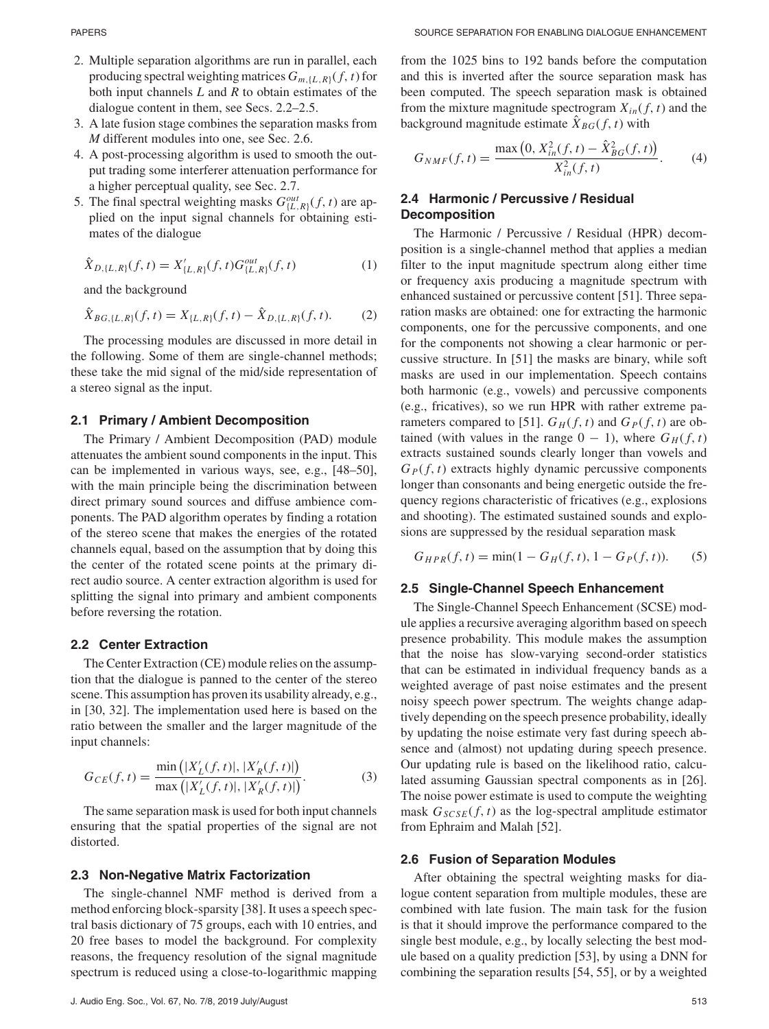- 2. Multiple separation algorithms are run in parallel, each producing spectral weighting matrices  $G_{m,\{L,R\}}(f, t)$  for both input channels *L* and *R* to obtain estimates of the dialogue content in them, see Secs. 2.2–2.5.
- 3. A late fusion stage combines the separation masks from *M* different modules into one, see Sec. 2.6.
- 4. A post-processing algorithm is used to smooth the output trading some interferer attenuation performance for a higher perceptual quality, see Sec. 2.7.
- 5. The final spectral weighting masks  $G_{\{L,R\}}^{out}(f, t)$  are applied on the input signal channels for obtaining estimates of the dialogue

$$
\hat{X}_{D,\{L,R\}}(f,t) = X'_{\{L,R\}}(f,t)G_{\{L,R\}}^{out}(f,t)
$$
\n(1)

and the background

$$
\hat{X}_{BG,\{L,R\}}(f,t) = X_{\{L,R\}}(f,t) - \hat{X}_{D,\{L,R\}}(f,t). \tag{2}
$$

The processing modules are discussed in more detail in the following. Some of them are single-channel methods; these take the mid signal of the mid/side representation of a stereo signal as the input.

#### **2.1 Primary / Ambient Decomposition**

The Primary / Ambient Decomposition (PAD) module attenuates the ambient sound components in the input. This can be implemented in various ways, see, e.g., [48–50], with the main principle being the discrimination between direct primary sound sources and diffuse ambience components. The PAD algorithm operates by finding a rotation of the stereo scene that makes the energies of the rotated channels equal, based on the assumption that by doing this the center of the rotated scene points at the primary direct audio source. A center extraction algorithm is used for splitting the signal into primary and ambient components before reversing the rotation.

### **2.2 Center Extraction**

The Center Extraction (CE) module relies on the assumption that the dialogue is panned to the center of the stereo scene. This assumption has proven its usability already, e.g., in [30, 32]. The implementation used here is based on the ratio between the smaller and the larger magnitude of the input channels:

$$
G_{CE}(f, t) = \frac{\min\left(|X'_{L}(f, t)|, |X'_{R}(f, t)|\right)}{\max\left(|X'_{L}(f, t)|, |X'_{R}(f, t)|\right)}.
$$
 (3)

The same separation mask is used for both input channels ensuring that the spatial properties of the signal are not distorted.

#### **2.3 Non-Negative Matrix Factorization**

The single-channel NMF method is derived from a method enforcing block-sparsity [38]. It uses a speech spectral basis dictionary of 75 groups, each with 10 entries, and 20 free bases to model the background. For complexity reasons, the frequency resolution of the signal magnitude spectrum is reduced using a close-to-logarithmic mapping

from the 1025 bins to 192 bands before the computation and this is inverted after the source separation mask has been computed. The speech separation mask is obtained from the mixture magnitude spectrogram  $X_{in}(f, t)$  and the background magnitude estimate  $\ddot{X}_{BG}(f, t)$  with

$$
G_{NMF}(f,t) = \frac{\max\left(0, X_{in}^2(f,t) - \hat{X}_{BG}^2(f,t)\right)}{X_{in}^2(f,t)}.
$$
 (4)

## **2.4 Harmonic / Percussive / Residual Decomposition**

The Harmonic / Percussive / Residual (HPR) decomposition is a single-channel method that applies a median filter to the input magnitude spectrum along either time or frequency axis producing a magnitude spectrum with enhanced sustained or percussive content [51]. Three separation masks are obtained: one for extracting the harmonic components, one for the percussive components, and one for the components not showing a clear harmonic or percussive structure. In [51] the masks are binary, while soft masks are used in our implementation. Speech contains both harmonic (e.g., vowels) and percussive components (e.g., fricatives), so we run HPR with rather extreme parameters compared to [51].  $G_H(f, t)$  and  $G_P(f, t)$  are obtained (with values in the range  $0 - 1$ ), where  $G_H(f, t)$ extracts sustained sounds clearly longer than vowels and  $G_P(f, t)$  extracts highly dynamic percussive components longer than consonants and being energetic outside the frequency regions characteristic of fricatives (e.g., explosions and shooting). The estimated sustained sounds and explosions are suppressed by the residual separation mask

$$
G_{HPR}(f, t) = \min(1 - G_H(f, t), 1 - G_P(f, t)).
$$
 (5)

#### **2.5 Single-Channel Speech Enhancement**

The Single-Channel Speech Enhancement (SCSE) module applies a recursive averaging algorithm based on speech presence probability. This module makes the assumption that the noise has slow-varying second-order statistics that can be estimated in individual frequency bands as a weighted average of past noise estimates and the present noisy speech power spectrum. The weights change adaptively depending on the speech presence probability, ideally by updating the noise estimate very fast during speech absence and (almost) not updating during speech presence. Our updating rule is based on the likelihood ratio, calculated assuming Gaussian spectral components as in [26]. The noise power estimate is used to compute the weighting mask  $G_{SCSE}(f, t)$  as the log-spectral amplitude estimator from Ephraim and Malah [52].

#### **2.6 Fusion of Separation Modules**

After obtaining the spectral weighting masks for dialogue content separation from multiple modules, these are combined with late fusion. The main task for the fusion is that it should improve the performance compared to the single best module, e.g., by locally selecting the best module based on a quality prediction [53], by using a DNN for combining the separation results [54, 55], or by a weighted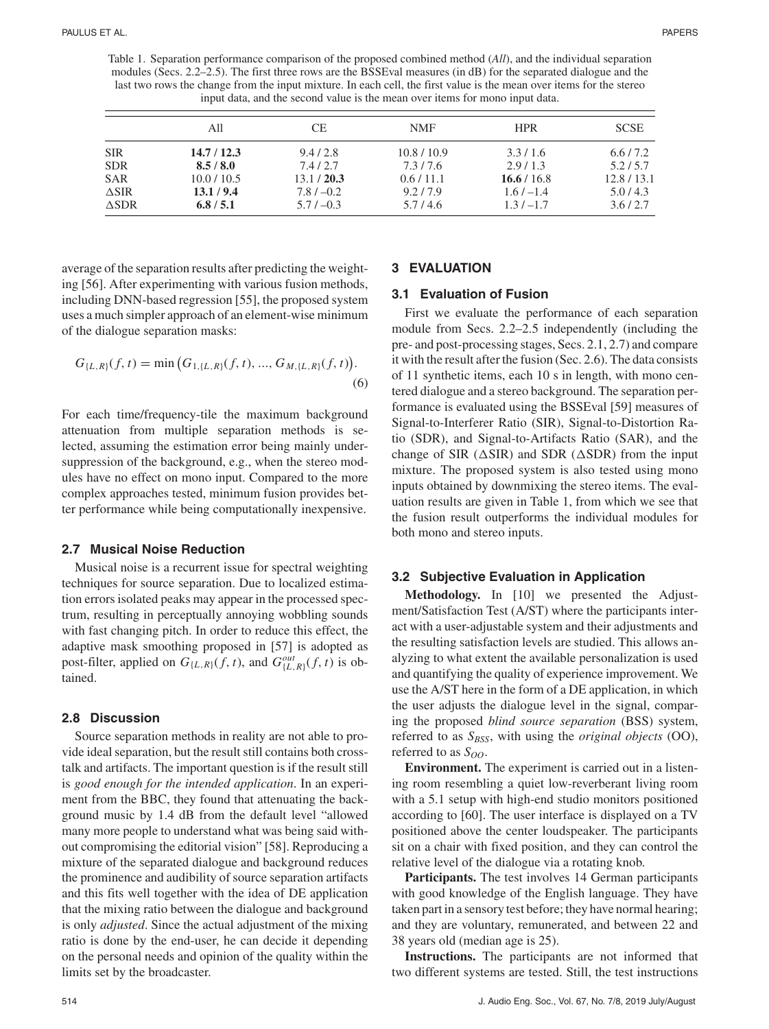Table 1. Separation performance comparison of the proposed combined method (*All*), and the individual separation modules (Secs. 2.2–2.5). The first three rows are the BSSEval measures (in dB) for the separated dialogue and the last two rows the change from the input mixture. In each cell, the first value is the mean over items for the stereo input data, and the second value is the mean over items for mono input data.

|                 | All         | CE.          | <b>NMF</b>  | <b>HPR</b>  | <b>SCSE</b> |
|-----------------|-------------|--------------|-------------|-------------|-------------|
| <b>SIR</b>      | 14.7/12.3   | 9.4/2.8      | 10.8 / 10.9 | 3.3/1.6     | 6.6/7.2     |
| <b>SDR</b>      | 8.5/8.0     | 7.4/2.7      | 7.3/7.6     | 2.9/1.3     | 5.2/5.7     |
| <b>SAR</b>      | 10.0 / 10.5 | 13.1 / 20.3  | 0.6/11.1    | 16.6 / 16.8 | 12.8 / 13.1 |
| $\triangle$ SIR | 13.1/9.4    | $7.8 / -0.2$ | 9.2/7.9     | $1.6/ -1.4$ | 5.0/4.3     |
| $\triangle$ SDR | 6.8/5.1     | $5.7/ -0.3$  | 5.7/4.6     | $1.3/ -1.7$ | 3.6/2.7     |

average of the separation results after predicting the weighting [56]. After experimenting with various fusion methods, including DNN-based regression [55], the proposed system uses a much simpler approach of an element-wise minimum of the dialogue separation masks:

$$
G_{\{L,R\}}(f,t) = \min\big(G_{1,\{L,R\}}(f,t), ..., G_{M,\{L,R\}}(f,t)\big).
$$
\n(6)

For each time/frequency-tile the maximum background attenuation from multiple separation methods is selected, assuming the estimation error being mainly undersuppression of the background, e.g., when the stereo modules have no effect on mono input. Compared to the more complex approaches tested, minimum fusion provides better performance while being computationally inexpensive.

#### **2.7 Musical Noise Reduction**

Musical noise is a recurrent issue for spectral weighting techniques for source separation. Due to localized estimation errors isolated peaks may appear in the processed spectrum, resulting in perceptually annoying wobbling sounds with fast changing pitch. In order to reduce this effect, the adaptive mask smoothing proposed in [57] is adopted as post-filter, applied on  $G_{\{L,R\}}(f, t)$ , and  $G_{\{L,R\}}^{out}(f, t)$  is obtained.

## **2.8 Discussion**

Source separation methods in reality are not able to provide ideal separation, but the result still contains both crosstalk and artifacts. The important question is if the result still is *good enough for the intended application*. In an experiment from the BBC, they found that attenuating the background music by 1.4 dB from the default level "allowed many more people to understand what was being said without compromising the editorial vision" [58]. Reproducing a mixture of the separated dialogue and background reduces the prominence and audibility of source separation artifacts and this fits well together with the idea of DE application that the mixing ratio between the dialogue and background is only *adjusted*. Since the actual adjustment of the mixing ratio is done by the end-user, he can decide it depending on the personal needs and opinion of the quality within the limits set by the broadcaster.

#### **3 EVALUATION**

## **3.1 Evaluation of Fusion**

First we evaluate the performance of each separation module from Secs. 2.2–2.5 independently (including the pre- and post-processing stages, Secs. 2.1, 2.7) and compare it with the result after the fusion (Sec. 2.6). The data consists of 11 synthetic items, each 10 s in length, with mono centered dialogue and a stereo background. The separation performance is evaluated using the BSSEval [59] measures of Signal-to-Interferer Ratio (SIR), Signal-to-Distortion Ratio (SDR), and Signal-to-Artifacts Ratio (SAR), and the change of SIR ( $\Delta$ SIR) and SDR ( $\Delta$ SDR) from the input mixture. The proposed system is also tested using mono inputs obtained by downmixing the stereo items. The evaluation results are given in Table 1, from which we see that the fusion result outperforms the individual modules for both mono and stereo inputs.

#### **3.2 Subjective Evaluation in Application**

**Methodology.** In [10] we presented the Adjustment/Satisfaction Test (A/ST) where the participants interact with a user-adjustable system and their adjustments and the resulting satisfaction levels are studied. This allows analyzing to what extent the available personalization is used and quantifying the quality of experience improvement. We use the A/ST here in the form of a DE application, in which the user adjusts the dialogue level in the signal, comparing the proposed *blind source separation* (BSS) system, referred to as *S<sub>BSS</sub>*, with using the *original objects* (OO), referred to as  $S_{OO}$ .

**Environment.** The experiment is carried out in a listening room resembling a quiet low-reverberant living room with a 5.1 setup with high-end studio monitors positioned according to [60]. The user interface is displayed on a TV positioned above the center loudspeaker. The participants sit on a chair with fixed position, and they can control the relative level of the dialogue via a rotating knob.

**Participants.** The test involves 14 German participants with good knowledge of the English language. They have taken part in a sensory test before; they have normal hearing; and they are voluntary, remunerated, and between 22 and 38 years old (median age is 25).

**Instructions.** The participants are not informed that two different systems are tested. Still, the test instructions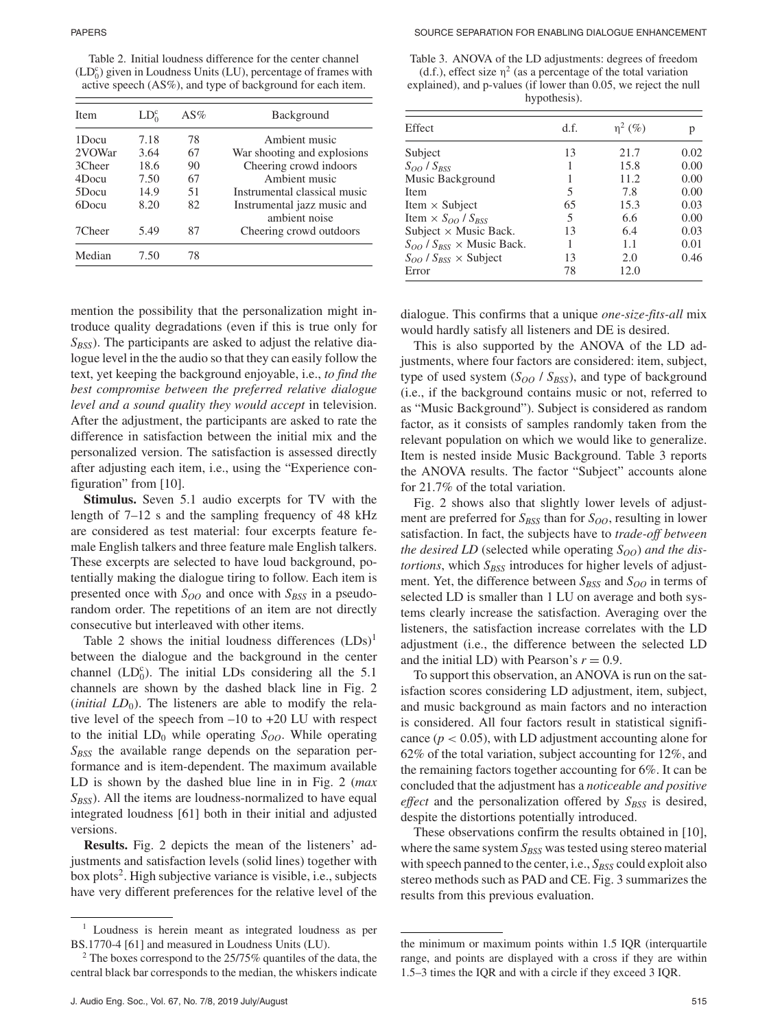Table 2. Initial loudness difference for the center channel (LD<sub>0</sub><sup>c</sup>)</sub> given in Loudness Units (LU), percentage of frames with active speech (AS%), and type of background for each item.

| <b>Item</b>       | $LD_0^c$ | $AS\%$ | Background                   |
|-------------------|----------|--------|------------------------------|
| 1 Docu            | 7.18     | 78     | Ambient music                |
| 2VOWar            | 3.64     | 67     | War shooting and explosions  |
| 3Cheer            | 18.6     | 90     | Cheering crowd indoors       |
| 4D <sub>ocu</sub> | 7.50     | 67     | Ambient music                |
| $5$ Docu          | 14.9     | 51     | Instrumental classical music |
| 6Docu             | 8.20     | 82     | Instrumental jazz music and  |
|                   |          |        | ambient noise                |
| 7Cheer            | 5.49     | 87     | Cheering crowd outdoors      |
| Median            | 7.50     | 78     |                              |
|                   |          |        |                              |

mention the possibility that the personalization might introduce quality degradations (even if this is true only for *S<sub>BSS</sub>*). The participants are asked to adjust the relative dialogue level in the the audio so that they can easily follow the text, yet keeping the background enjoyable, i.e., *to find the best compromise between the preferred relative dialogue level and a sound quality they would accept* in television. After the adjustment, the participants are asked to rate the difference in satisfaction between the initial mix and the personalized version. The satisfaction is assessed directly after adjusting each item, i.e., using the "Experience configuration" from [10].

**Stimulus.** Seven 5.1 audio excerpts for TV with the length of 7–12 s and the sampling frequency of 48 kHz are considered as test material: four excerpts feature female English talkers and three feature male English talkers. These excerpts are selected to have loud background, potentially making the dialogue tiring to follow. Each item is presented once with  $S_{OO}$  and once with  $S_{BSS}$  in a pseudorandom order. The repetitions of an item are not directly consecutive but interleaved with other items.

Table 2 shows the initial loudness differences  $(LDs)^1$ between the dialogue and the background in the center channel  $(LD_0^c)$ . The initial LDs considering all the 5.1 channels are shown by the dashed black line in Fig. 2  $(i\nu$ *nitial LD*<sub>0</sub>). The listeners are able to modify the relative level of the speech from –10 to +20 LU with respect to the initial  $LD_0$  while operating  $S_{OO}$ . While operating *SBSS* the available range depends on the separation performance and is item-dependent. The maximum available LD is shown by the dashed blue line in in Fig. 2 (*max S<sub>BSS</sub>*). All the items are loudness-normalized to have equal integrated loudness [61] both in their initial and adjusted versions.

**Results.** Fig. 2 depicts the mean of the listeners' adjustments and satisfaction levels (solid lines) together with box plots2. High subjective variance is visible, i.e., subjects have very different preferences for the relative level of the Table 3. ANOVA of the LD adjustments: degrees of freedom (d.f.), effect size  $\eta^2$  (as a percentage of the total variation

explained), and p-values (if lower than 0.05, we reject the null hypothesis).

| d.f. | $\eta^2$ (%) |      |
|------|--------------|------|
| 13   | 21.7         | 0.02 |
|      | 15.8         | 0.00 |
|      | 11.2         | 0.00 |
| 5    | 7.8          | 0.00 |
| 65   | 15.3         | 0.03 |
| 5    | 6.6          | 0.00 |
| 13   | 6.4          | 0.03 |
|      | 1.1          | 0.01 |
| 13   | 2.0          | 0.46 |
| 78   | 12.0         |      |
|      |              |      |

dialogue. This confirms that a unique *one-size-fits-all* mix would hardly satisfy all listeners and DE is desired.

This is also supported by the ANOVA of the LD adjustments, where four factors are considered: item, subject, type of used system  $(S_{OO} / S_{BSS})$ , and type of background (i.e., if the background contains music or not, referred to as "Music Background"). Subject is considered as random factor, as it consists of samples randomly taken from the relevant population on which we would like to generalize. Item is nested inside Music Background. Table 3 reports the ANOVA results. The factor "Subject" accounts alone for 21.7% of the total variation.

Fig. 2 shows also that slightly lower levels of adjustment are preferred for  $S_{BSS}$  than for  $S_{OO}$ , resulting in lower satisfaction. In fact, the subjects have to *trade-off between the desired LD* (selected while operating  $S_{OO}$ ) *and the distortions*, which *S<sub>BSS</sub>* introduces for higher levels of adjustment. Yet, the difference between  $S_{BSS}$  and  $S_{OO}$  in terms of selected LD is smaller than 1 LU on average and both systems clearly increase the satisfaction. Averaging over the listeners, the satisfaction increase correlates with the LD adjustment (i.e., the difference between the selected LD and the initial LD) with Pearson's  $r = 0.9$ .

To support this observation, an ANOVA is run on the satisfaction scores considering LD adjustment, item, subject, and music background as main factors and no interaction is considered. All four factors result in statistical significance  $(p < 0.05)$ , with LD adjustment accounting alone for 62% of the total variation, subject accounting for 12%, and the remaining factors together accounting for 6%. It can be concluded that the adjustment has a *noticeable and positive effect* and the personalization offered by  $S_{BSS}$  is desired, despite the distortions potentially introduced.

These observations confirm the results obtained in [10], where the same system  $S_{BSS}$  was tested using stereo material with speech panned to the center, i.e., *S<sub>BSS</sub>* could exploit also stereo methods such as PAD and CE. Fig. 3 summarizes the results from this previous evaluation.

<sup>1</sup> Loudness is herein meant as integrated loudness as per BS.1770-4 [61] and measured in Loudness Units (LU).

 $2$  The boxes correspond to the 25/75% quantiles of the data, the central black bar corresponds to the median, the whiskers indicate

the minimum or maximum points within 1.5 IQR (interquartile range, and points are displayed with a cross if they are within 1.5–3 times the IQR and with a circle if they exceed 3 IQR.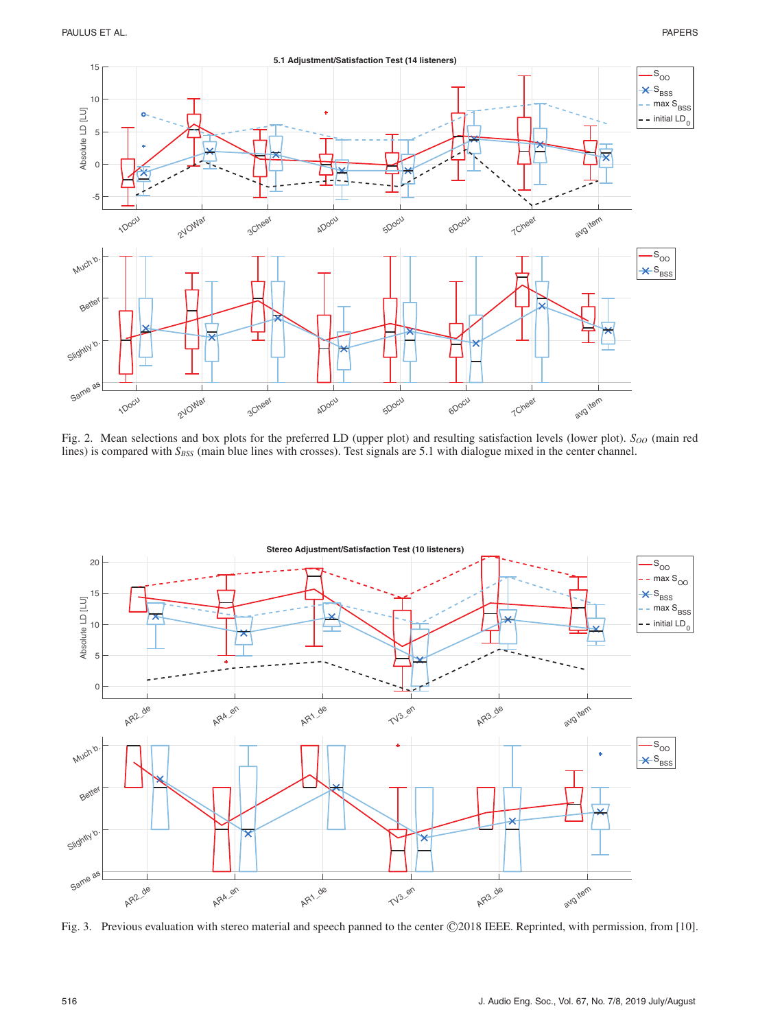

Fig. 2. Mean selections and box plots for the preferred LD (upper plot) and resulting satisfaction levels (lower plot). *S<sub>oo</sub>* (main red lines) is compared with *S<sub>BSS</sub>* (main blue lines with crosses). Test signals are 5.1 with dialogue mixed in the center channel.



Fig. 3. Previous evaluation with stereo material and speech panned to the center ©2018 IEEE. Reprinted, with permission, from [10].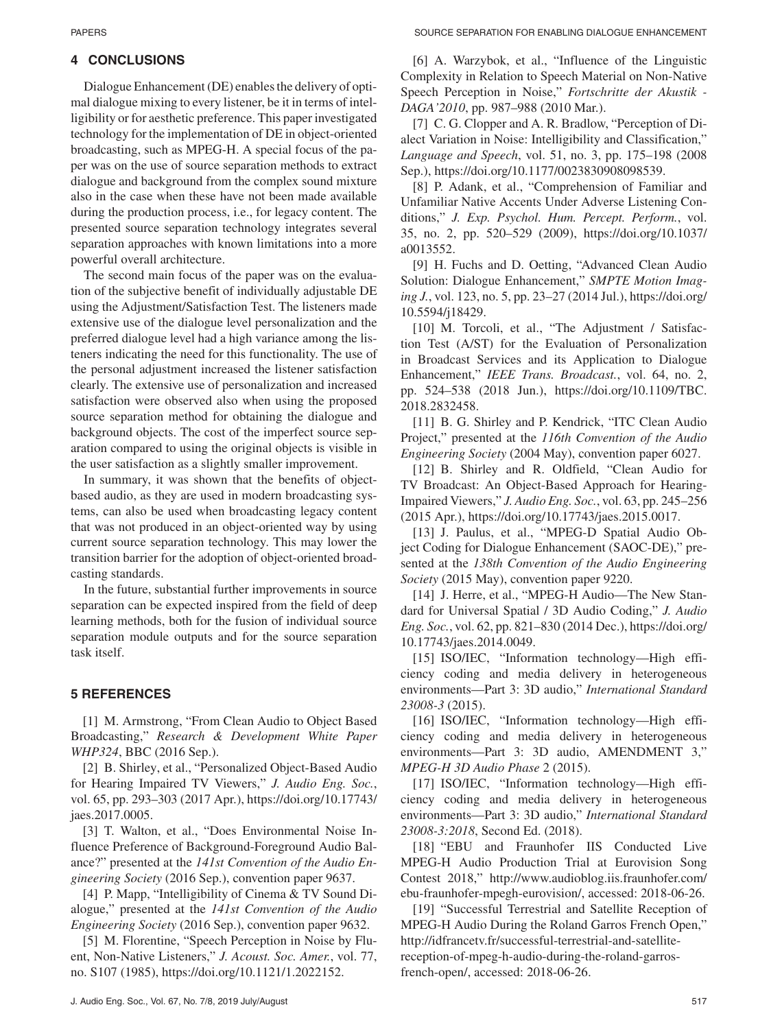[6] A. Warzybok, et al., "Influence of the Linguistic Complexity in Relation to Speech Material on Non-Native Speech Perception in Noise," *Fortschritte der Akustik -*

[7] C. G. Clopper and A. R. Bradlow, "Perception of Dialect Variation in Noise: Intelligibility and Classification," *Language and Speech*, vol. 51, no. 3, pp. 175–198 (2008 Sep.), https://doi.org/10.1177/0023830908098539.

[8] P. Adank, et al., "Comprehension of Familiar and Unfamiliar Native Accents Under Adverse Listening Conditions," *J. Exp. Psychol. Hum. Percept. Perform.*, vol. 35, no. 2, pp. 520–529 (2009), https://doi.org/10.1037/

*DAGA'2010*, pp. 987–988 (2010 Mar.).

# **4 CONCLUSIONS**

Dialogue Enhancement (DE) enables the delivery of optimal dialogue mixing to every listener, be it in terms of intelligibility or for aesthetic preference. This paper investigated technology for the implementation of DE in object-oriented broadcasting, such as MPEG-H. A special focus of the paper was on the use of source separation methods to extract dialogue and background from the complex sound mixture also in the case when these have not been made available during the production process, i.e., for legacy content. The presented source separation technology integrates several separation approaches with known limitations into a more powerful overall architecture.

The second main focus of the paper was on the evaluation of the subjective benefit of individually adjustable DE using the Adjustment/Satisfaction Test. The listeners made extensive use of the dialogue level personalization and the preferred dialogue level had a high variance among the listeners indicating the need for this functionality. The use of the personal adjustment increased the listener satisfaction clearly. The extensive use of personalization and increased satisfaction were observed also when using the proposed source separation method for obtaining the dialogue and background objects. The cost of the imperfect source separation compared to using the original objects is visible in the user satisfaction as a slightly smaller improvement.

In summary, it was shown that the benefits of objectbased audio, as they are used in modern broadcasting systems, can also be used when broadcasting legacy content that was not produced in an object-oriented way by using current source separation technology. This may lower the transition barrier for the adoption of object-oriented broadcasting standards.

In the future, substantial further improvements in source separation can be expected inspired from the field of deep learning methods, both for the fusion of individual source separation module outputs and for the source separation task itself.

# **5 REFERENCES**

[1] M. Armstrong, "From Clean Audio to Object Based Broadcasting," *Research & Development White Paper WHP324*, BBC (2016 Sep.).

[2] B. Shirley, et al., "Personalized Object-Based Audio for Hearing Impaired TV Viewers," *J. Audio Eng. Soc.*, vol. 65, pp. 293–303 (2017 Apr.), https://doi.org/10.17743/ jaes.2017.0005.

[3] T. Walton, et al., "Does Environmental Noise Influence Preference of Background-Foreground Audio Balance?" presented at the *141st Convention of the Audio Engineering Society* (2016 Sep.), convention paper 9637.

[4] P. Mapp, "Intelligibility of Cinema & TV Sound Dialogue," presented at the *141st Convention of the Audio Engineering Society* (2016 Sep.), convention paper 9632.

[5] M. Florentine, "Speech Perception in Noise by Fluent, Non-Native Listeners," *J. Acoust. Soc. Amer.*, vol. 77, no. S107 (1985), https://doi.org/10.1121/1.2022152.

[9] H. Fuchs and D. Oetting, "Advanced Clean Audio Solution: Dialogue Enhancement," *SMPTE Motion Imaging J.*, vol. 123, no. 5, pp. 23–27 (2014 Jul.), https://doi.org/

a0013552.

10.5594/j18429. [10] M. Torcoli, et al., "The Adjustment / Satisfaction Test (A/ST) for the Evaluation of Personalization in Broadcast Services and its Application to Dialogue Enhancement," *IEEE Trans. Broadcast.*, vol. 64, no. 2, pp. 524–538 (2018 Jun.), https://doi.org/10.1109/TBC. 2018.2832458.

[11] B. G. Shirley and P. Kendrick, "ITC Clean Audio Project," presented at the *116th Convention of the Audio Engineering Society* (2004 May), convention paper 6027.

[12] B. Shirley and R. Oldfield, "Clean Audio for TV Broadcast: An Object-Based Approach for Hearing-Impaired Viewers," *J. Audio Eng. Soc.*, vol. 63, pp. 245–256 (2015 Apr.), https://doi.org/10.17743/jaes.2015.0017.

[13] J. Paulus, et al., "MPEG-D Spatial Audio Object Coding for Dialogue Enhancement (SAOC-DE)," presented at the *138th Convention of the Audio Engineering Society* (2015 May), convention paper 9220.

[14] J. Herre, et al., "MPEG-H Audio-The New Standard for Universal Spatial / 3D Audio Coding," *J. Audio Eng. Soc.*, vol. 62, pp. 821–830 (2014 Dec.), https://doi.org/ 10.17743/jaes.2014.0049.

[15] ISO/IEC, "Information technology—High efficiency coding and media delivery in heterogeneous environments—Part 3: 3D audio," *International Standard 23008-3* (2015).

[16] ISO/IEC, "Information technology—High efficiency coding and media delivery in heterogeneous environments—Part 3: 3D audio, AMENDMENT 3," *MPEG-H 3D Audio Phase* 2 (2015).

[17] ISO/IEC, "Information technology—High efficiency coding and media delivery in heterogeneous environments—Part 3: 3D audio," *International Standard 23008-3:2018*, Second Ed. (2018).

[18] "EBU and Fraunhofer IIS Conducted Live MPEG-H Audio Production Trial at Eurovision Song Contest 2018," http://www.audioblog.iis.fraunhofer.com/ ebu-fraunhofer-mpegh-eurovision/, accessed: 2018-06-26.

[19] "Successful Terrestrial and Satellite Reception of MPEG-H Audio During the Roland Garros French Open," http://idfrancetv.fr/successful-terrestrial-and-satellitereception-of-mpeg-h-audio-during-the-roland-garrosfrench-open/, accessed: 2018-06-26.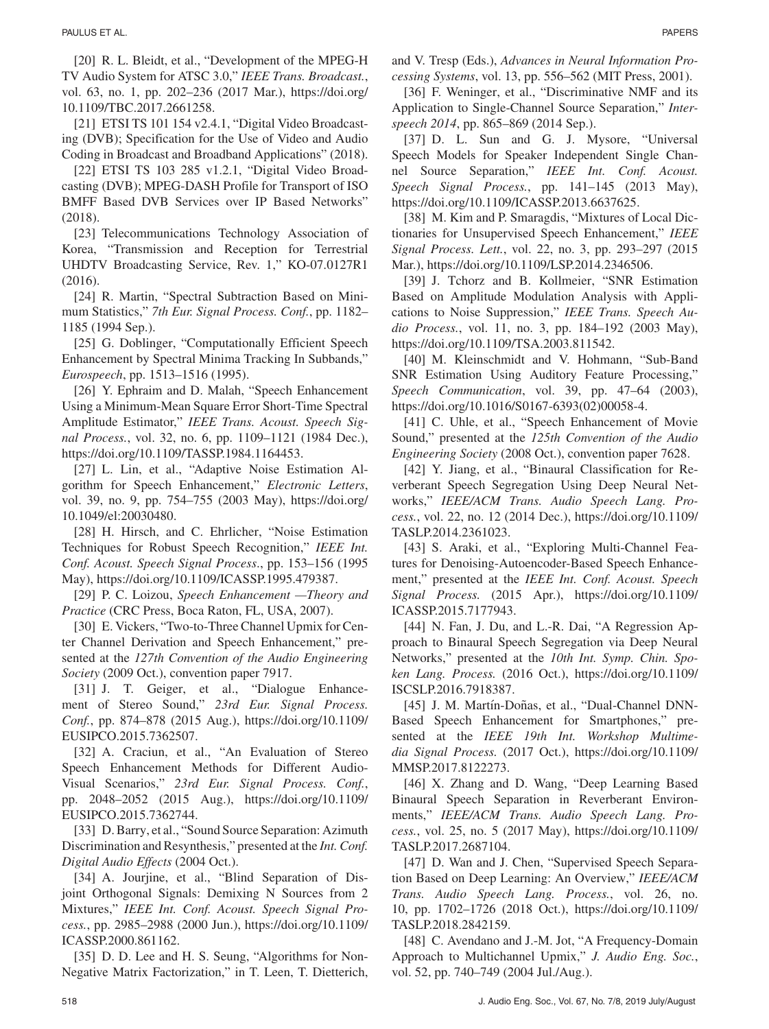[20] R. L. Bleidt, et al., "Development of the MPEG-H TV Audio System for ATSC 3.0," *IEEE Trans. Broadcast.*, vol. 63, no. 1, pp. 202–236 (2017 Mar.), https://doi.org/ 10.1109/TBC.2017.2661258.

[21] ETSI TS 101 154 v2.4.1, "Digital Video Broadcasting (DVB); Specification for the Use of Video and Audio Coding in Broadcast and Broadband Applications" (2018).

[22] ETSI TS 103 285 v1.2.1, "Digital Video Broadcasting (DVB); MPEG-DASH Profile for Transport of ISO BMFF Based DVB Services over IP Based Networks" (2018).

[23] Telecommunications Technology Association of Korea, "Transmission and Reception for Terrestrial UHDTV Broadcasting Service, Rev. 1," KO-07.0127R1 (2016).

[24] R. Martin, "Spectral Subtraction Based on Minimum Statistics," *7th Eur. Signal Process. Conf.*, pp. 1182– 1185 (1994 Sep.).

[25] G. Doblinger, "Computationally Efficient Speech Enhancement by Spectral Minima Tracking In Subbands," *Eurospeech*, pp. 1513–1516 (1995).

[26] Y. Ephraim and D. Malah, "Speech Enhancement Using a Minimum-Mean Square Error Short-Time Spectral Amplitude Estimator," *IEEE Trans. Acoust. Speech Signal Process.*, vol. 32, no. 6, pp. 1109–1121 (1984 Dec.), https://doi.org/10.1109/TASSP.1984.1164453.

[27] L. Lin, et al., "Adaptive Noise Estimation Algorithm for Speech Enhancement," *Electronic Letters*, vol. 39, no. 9, pp. 754–755 (2003 May), https://doi.org/ 10.1049/el:20030480.

[28] H. Hirsch, and C. Ehrlicher, "Noise Estimation Techniques for Robust Speech Recognition," *IEEE Int. Conf. Acoust. Speech Signal Process*., pp. 153–156 (1995 May), https://doi.org/10.1109/ICASSP.1995.479387.

[29] P. C. Loizou, *Speech Enhancement —Theory and Practice* (CRC Press, Boca Raton, FL, USA, 2007).

[30] E. Vickers, "Two-to-Three Channel Upmix for Center Channel Derivation and Speech Enhancement," presented at the *127th Convention of the Audio Engineering Society* (2009 Oct.), convention paper 7917.

[31] J. T. Geiger, et al., "Dialogue Enhancement of Stereo Sound," *23rd Eur. Signal Process. Conf.*, pp. 874–878 (2015 Aug.), https://doi.org/10.1109/ EUSIPCO.2015.7362507.

[32] A. Craciun, et al., "An Evaluation of Stereo Speech Enhancement Methods for Different Audio-Visual Scenarios," *23rd Eur. Signal Process. Conf.*, pp. 2048–2052 (2015 Aug.), https://doi.org/10.1109/ EUSIPCO.2015.7362744.

[33] D. Barry, et al., "Sound Source Separation: Azimuth Discrimination and Resynthesis," presented at the *Int. Conf. Digital Audio Effects* (2004 Oct.).

[34] A. Jourjine, et al., "Blind Separation of Disjoint Orthogonal Signals: Demixing N Sources from 2 Mixtures," *IEEE Int. Conf. Acoust. Speech Signal Process.*, pp. 2985–2988 (2000 Jun.), https://doi.org/10.1109/ ICASSP.2000.861162.

[35] D. D. Lee and H. S. Seung, "Algorithms for Non-Negative Matrix Factorization," in T. Leen, T. Dietterich,

and V. Tresp (Eds.), *Advances in Neural Information Processing Systems*, vol. 13, pp. 556–562 (MIT Press, 2001).

[36] F. Weninger, et al., "Discriminative NMF and its Application to Single-Channel Source Separation," *Interspeech 2014*, pp. 865–869 (2014 Sep.).

[37] D. L. Sun and G. J. Mysore, "Universal Speech Models for Speaker Independent Single Channel Source Separation," *IEEE Int. Conf. Acoust. Speech Signal Process.*, pp. 141–145 (2013 May), https://doi.org/10.1109/ICASSP.2013.6637625.

[38] M. Kim and P. Smaragdis, "Mixtures of Local Dictionaries for Unsupervised Speech Enhancement," *IEEE Signal Process. Lett.*, vol. 22, no. 3, pp. 293–297 (2015 Mar.), https://doi.org/10.1109/LSP.2014.2346506.

[39] J. Tchorz and B. Kollmeier, "SNR Estimation Based on Amplitude Modulation Analysis with Applications to Noise Suppression," *IEEE Trans. Speech Audio Process.*, vol. 11, no. 3, pp. 184–192 (2003 May), https://doi.org/10.1109/TSA.2003.811542.

[40] M. Kleinschmidt and V. Hohmann, "Sub-Band SNR Estimation Using Auditory Feature Processing," *Speech Communication*, vol. 39, pp. 47–64 (2003), https://doi.org/10.1016/S0167-6393(02)00058-4.

[41] C. Uhle, et al., "Speech Enhancement of Movie Sound," presented at the *125th Convention of the Audio Engineering Society* (2008 Oct.), convention paper 7628.

[42] Y. Jiang, et al., "Binaural Classification for Reverberant Speech Segregation Using Deep Neural Networks," *IEEE/ACM Trans. Audio Speech Lang. Process.*, vol. 22, no. 12 (2014 Dec.), https://doi.org/10.1109/ TASLP.2014.2361023.

[43] S. Araki, et al., "Exploring Multi-Channel Features for Denoising-Autoencoder-Based Speech Enhancement," presented at the *IEEE Int. Conf. Acoust. Speech Signal Process.* (2015 Apr.), https://doi.org/10.1109/ ICASSP.2015.7177943.

[44] N. Fan, J. Du, and L.-R. Dai, "A Regression Approach to Binaural Speech Segregation via Deep Neural Networks," presented at the *10th Int. Symp. Chin. Spoken Lang. Process.* (2016 Oct.), https://doi.org/10.1109/ ISCSLP.2016.7918387.

[45] J. M. Martín-Doñas, et al., "Dual-Channel DNN-Based Speech Enhancement for Smartphones," presented at the *IEEE 19th Int. Workshop Multimedia Signal Process.* (2017 Oct.), https://doi.org/10.1109/ MMSP.2017.8122273.

[46] X. Zhang and D. Wang, "Deep Learning Based Binaural Speech Separation in Reverberant Environments," *IEEE/ACM Trans. Audio Speech Lang. Process.*, vol. 25, no. 5 (2017 May), https://doi.org/10.1109/ TASLP.2017.2687104.

[47] D. Wan and J. Chen, "Supervised Speech Separation Based on Deep Learning: An Overview," *IEEE/ACM Trans. Audio Speech Lang. Process.*, vol. 26, no. 10, pp. 1702–1726 (2018 Oct.), https://doi.org/10.1109/ TASLP.2018.2842159.

[48] C. Avendano and J.-M. Jot, "A Frequency-Domain Approach to Multichannel Upmix," *J. Audio Eng. Soc.*, vol. 52, pp. 740–749 (2004 Jul./Aug.).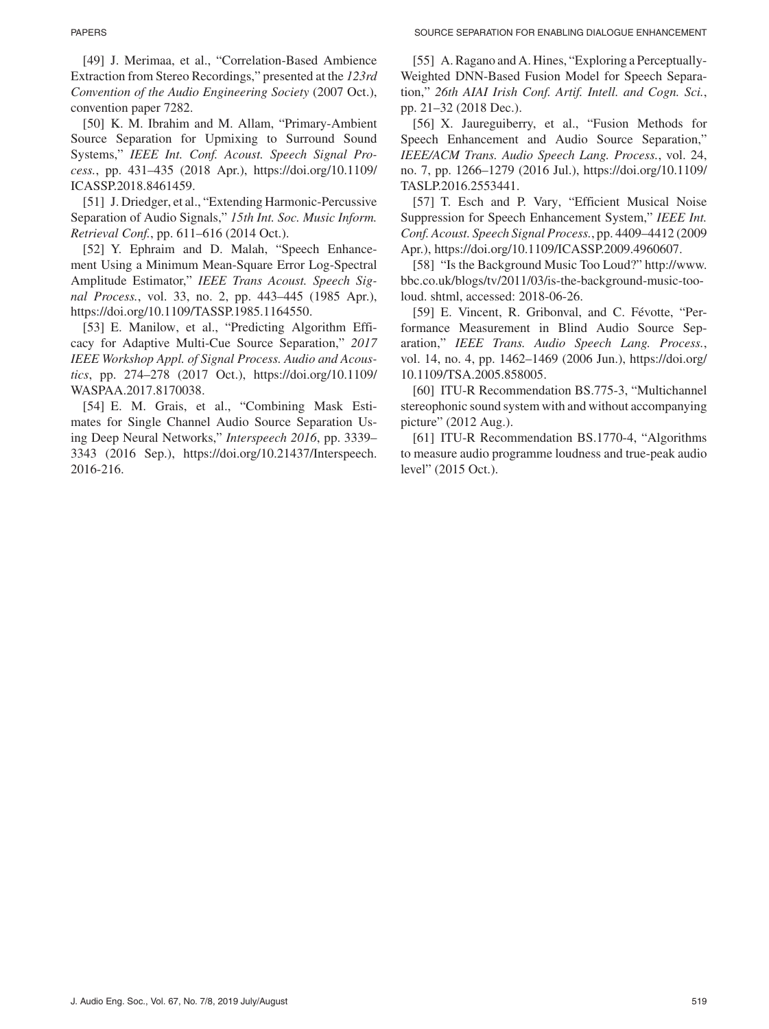[49] J. Merimaa, et al., "Correlation-Based Ambience Extraction from Stereo Recordings," presented at the *123rd Convention of the Audio Engineering Society* (2007 Oct.), convention paper 7282.

[50] K. M. Ibrahim and M. Allam, "Primary-Ambient Source Separation for Upmixing to Surround Sound Systems," *IEEE Int. Conf. Acoust. Speech Signal Process.*, pp. 431–435 (2018 Apr.), https://doi.org/10.1109/ ICASSP.2018.8461459.

[51] J. Driedger, et al., "Extending Harmonic-Percussive Separation of Audio Signals," *15th Int. Soc. Music Inform. Retrieval Conf.*, pp. 611–616 (2014 Oct.).

[52] Y. Ephraim and D. Malah, "Speech Enhancement Using a Minimum Mean-Square Error Log-Spectral Amplitude Estimator," *IEEE Trans Acoust. Speech Signal Process.*, vol. 33, no. 2, pp. 443–445 (1985 Apr.), https://doi.org/10.1109/TASSP.1985.1164550.

[53] E. Manilow, et al., "Predicting Algorithm Efficacy for Adaptive Multi-Cue Source Separation," *2017 IEEE Workshop Appl. of Signal Process. Audio and Acoustics*, pp. 274–278 (2017 Oct.), https://doi.org/10.1109/ WASPAA.2017.8170038.

[54] E. M. Grais, et al., "Combining Mask Estimates for Single Channel Audio Source Separation Using Deep Neural Networks," *Interspeech 2016*, pp. 3339– 3343 (2016 Sep.), https://doi.org/10.21437/Interspeech. 2016-216.

[55] A. Ragano and A. Hines, "Exploring a Perceptually-Weighted DNN-Based Fusion Model for Speech Separation," *26th AIAI Irish Conf. Artif. Intell. and Cogn. Sci.*, pp. 21–32 (2018 Dec.).

[56] X. Jaureguiberry, et al., "Fusion Methods for Speech Enhancement and Audio Source Separation," *IEEE/ACM Trans. Audio Speech Lang. Process.*, vol. 24, no. 7, pp. 1266–1279 (2016 Jul.), https://doi.org/10.1109/ TASLP.2016.2553441.

[57] T. Esch and P. Vary, "Efficient Musical Noise Suppression for Speech Enhancement System," *IEEE Int. Conf. Acoust. Speech Signal Process.*, pp. 4409–4412 (2009 Apr.), https://doi.org/10.1109/ICASSP.2009.4960607.

[58] "Is the Background Music Too Loud?" http://www. bbc.co.uk/blogs/tv/2011/03/is-the-background-music-tooloud. shtml, accessed: 2018-06-26.

[59] E. Vincent, R. Gribonval, and C. Févotte, "Performance Measurement in Blind Audio Source Separation," *IEEE Trans. Audio Speech Lang. Process.*, vol. 14, no. 4, pp. 1462–1469 (2006 Jun.), https://doi.org/ 10.1109/TSA.2005.858005.

[60] ITU-R Recommendation BS.775-3, "Multichannel stereophonic sound system with and without accompanying picture" (2012 Aug.).

[61] ITU-R Recommendation BS.1770-4, "Algorithms to measure audio programme loudness and true-peak audio level" (2015 Oct.).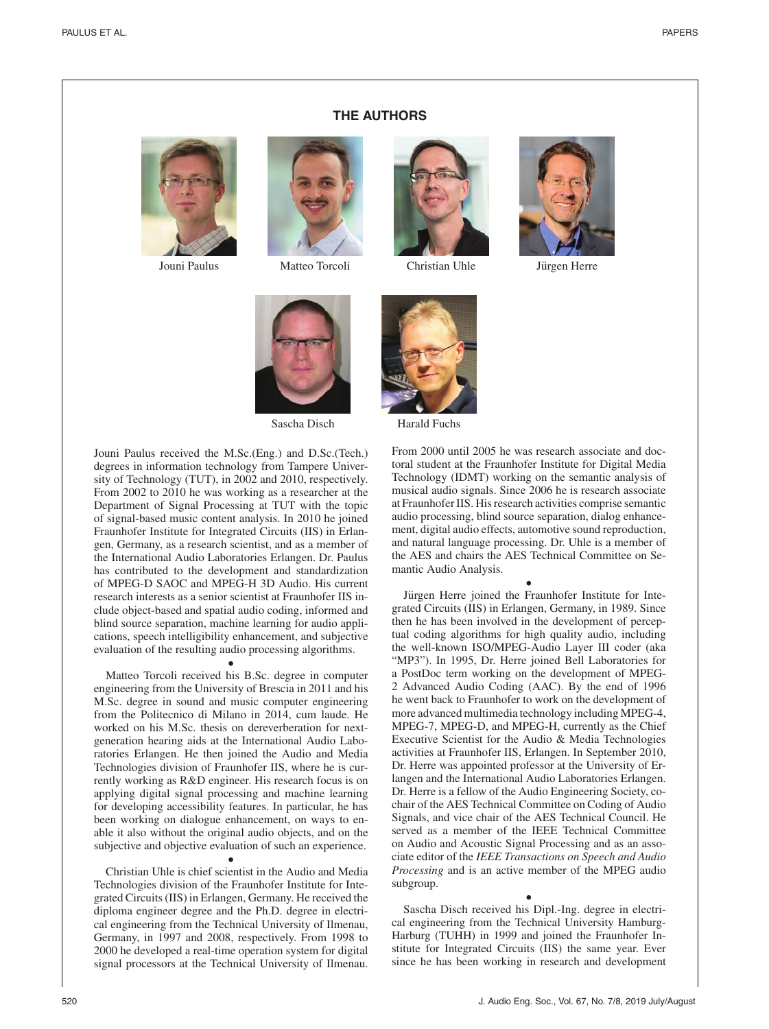



Jouni Paulus Matteo Torcoli Christian Uhle Jurgen Herre ¨



**THE AUTHORS**





Sascha Disch Harald Fuchs



Jouni Paulus received the M.Sc.(Eng.) and D.Sc.(Tech.) degrees in information technology from Tampere University of Technology (TUT), in 2002 and 2010, respectively. From 2002 to 2010 he was working as a researcher at the Department of Signal Processing at TUT with the topic of signal-based music content analysis. In 2010 he joined Fraunhofer Institute for Integrated Circuits (IIS) in Erlangen, Germany, as a research scientist, and as a member of the International Audio Laboratories Erlangen. Dr. Paulus has contributed to the development and standardization of MPEG-D SAOC and MPEG-H 3D Audio. His current research interests as a senior scientist at Fraunhofer IIS include object-based and spatial audio coding, informed and blind source separation, machine learning for audio applications, speech intelligibility enhancement, and subjective evaluation of the resulting audio processing algorithms.

•

Matteo Torcoli received his B.Sc. degree in computer engineering from the University of Brescia in 2011 and his M.Sc. degree in sound and music computer engineering from the Politecnico di Milano in 2014, cum laude. He worked on his M.Sc. thesis on dereverberation for nextgeneration hearing aids at the International Audio Laboratories Erlangen. He then joined the Audio and Media Technologies division of Fraunhofer IIS, where he is currently working as R&D engineer. His research focus is on applying digital signal processing and machine learning for developing accessibility features. In particular, he has been working on dialogue enhancement, on ways to enable it also without the original audio objects, and on the subjective and objective evaluation of such an experience. •

Christian Uhle is chief scientist in the Audio and Media Technologies division of the Fraunhofer Institute for Integrated Circuits (IIS) in Erlangen, Germany. He received the diploma engineer degree and the Ph.D. degree in electrical engineering from the Technical University of Ilmenau, Germany, in 1997 and 2008, respectively. From 1998 to 2000 he developed a real-time operation system for digital signal processors at the Technical University of Ilmenau.

From 2000 until 2005 he was research associate and doctoral student at the Fraunhofer Institute for Digital Media Technology (IDMT) working on the semantic analysis of musical audio signals. Since 2006 he is research associate at Fraunhofer IIS. His research activities comprise semantic audio processing, blind source separation, dialog enhancement, digital audio effects, automotive sound reproduction, and natural language processing. Dr. Uhle is a member of the AES and chairs the AES Technical Committee on Semantic Audio Analysis.

•

Jürgen Herre joined the Fraunhofer Institute for Integrated Circuits (IIS) in Erlangen, Germany, in 1989. Since then he has been involved in the development of perceptual coding algorithms for high quality audio, including the well-known ISO/MPEG-Audio Layer III coder (aka "MP3"). In 1995, Dr. Herre joined Bell Laboratories for a PostDoc term working on the development of MPEG-2 Advanced Audio Coding (AAC). By the end of 1996 he went back to Fraunhofer to work on the development of more advanced multimedia technology including MPEG-4, MPEG-7, MPEG-D, and MPEG-H, currently as the Chief Executive Scientist for the Audio & Media Technologies activities at Fraunhofer IIS, Erlangen. In September 2010, Dr. Herre was appointed professor at the University of Erlangen and the International Audio Laboratories Erlangen. Dr. Herre is a fellow of the Audio Engineering Society, cochair of the AES Technical Committee on Coding of Audio Signals, and vice chair of the AES Technical Council. He served as a member of the IEEE Technical Committee on Audio and Acoustic Signal Processing and as an associate editor of the *IEEE Transactions on Speech and Audio Processing* and is an active member of the MPEG audio subgroup.

• Sascha Disch received his Dipl.-Ing. degree in electrical engineering from the Technical University Hamburg-Harburg (TUHH) in 1999 and joined the Fraunhofer Institute for Integrated Circuits (IIS) the same year. Ever since he has been working in research and development